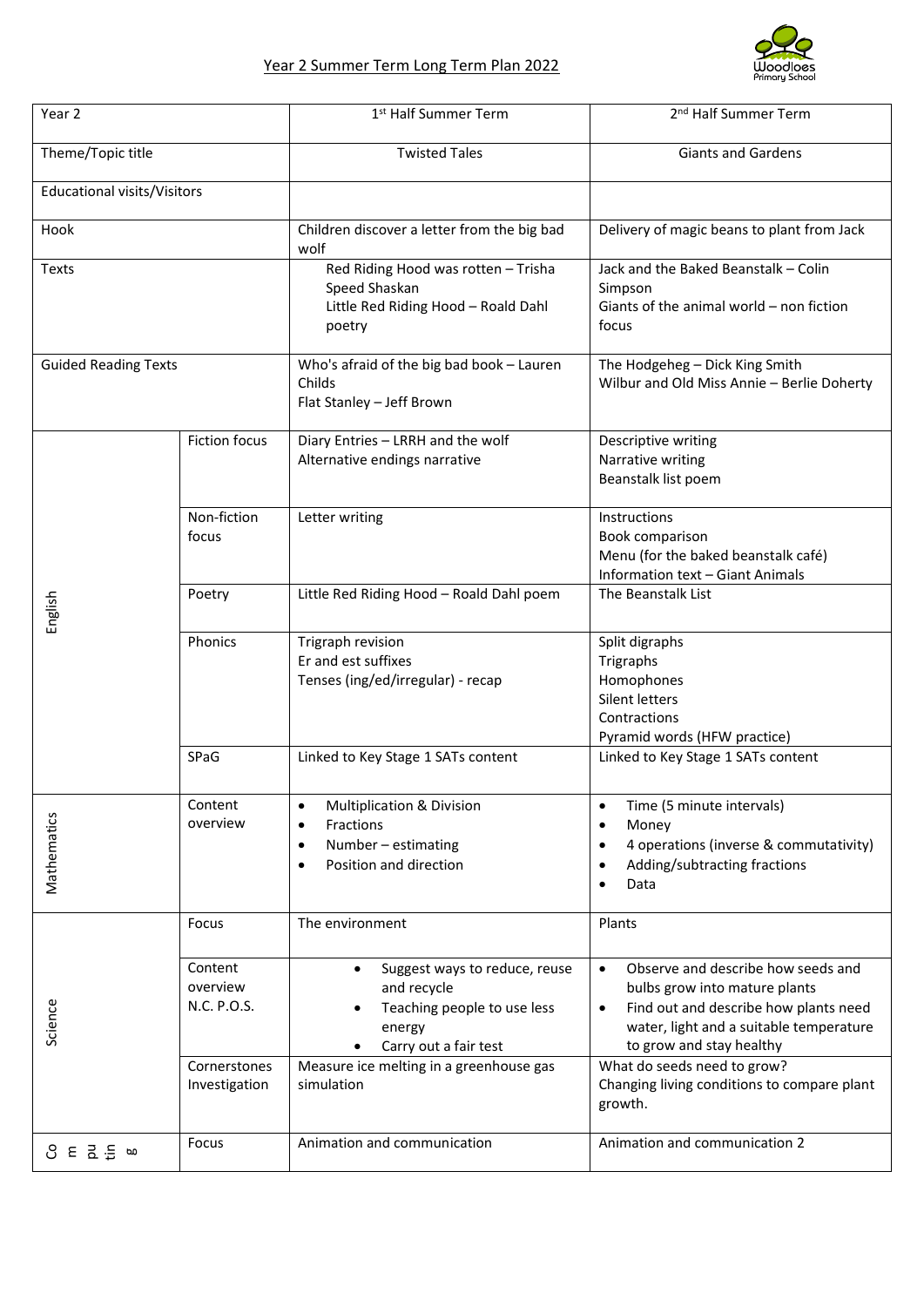

| Year 2                      |                                    | 1 <sup>st</sup> Half Summer Term                                                                                                    | 2 <sup>nd</sup> Half Summer Term                                                                                                                                                                              |
|-----------------------------|------------------------------------|-------------------------------------------------------------------------------------------------------------------------------------|---------------------------------------------------------------------------------------------------------------------------------------------------------------------------------------------------------------|
| Theme/Topic title           |                                    | <b>Twisted Tales</b>                                                                                                                | <b>Giants and Gardens</b>                                                                                                                                                                                     |
| Educational visits/Visitors |                                    |                                                                                                                                     |                                                                                                                                                                                                               |
| Hook                        |                                    | Children discover a letter from the big bad<br>wolf                                                                                 | Delivery of magic beans to plant from Jack                                                                                                                                                                    |
| <b>Texts</b>                |                                    | Red Riding Hood was rotten - Trisha<br>Speed Shaskan<br>Little Red Riding Hood - Roald Dahl<br>poetry                               | Jack and the Baked Beanstalk - Colin<br>Simpson<br>Giants of the animal world - non fiction<br>focus                                                                                                          |
| <b>Guided Reading Texts</b> |                                    | Who's afraid of the big bad book - Lauren<br>Childs<br>Flat Stanley - Jeff Brown                                                    | The Hodgeheg - Dick King Smith<br>Wilbur and Old Miss Annie - Berlie Doherty                                                                                                                                  |
| English                     | <b>Fiction focus</b>               | Diary Entries - LRRH and the wolf<br>Alternative endings narrative                                                                  | Descriptive writing<br>Narrative writing<br>Beanstalk list poem                                                                                                                                               |
|                             | Non-fiction<br>focus               | Letter writing                                                                                                                      | Instructions<br>Book comparison<br>Menu (for the baked beanstalk café)<br>Information text - Giant Animals                                                                                                    |
|                             | Poetry                             | Little Red Riding Hood - Roald Dahl poem                                                                                            | The Beanstalk List                                                                                                                                                                                            |
|                             | Phonics                            | Trigraph revision<br>Er and est suffixes<br>Tenses (ing/ed/irregular) - recap                                                       | Split digraphs<br>Trigraphs<br>Homophones<br>Silent letters<br>Contractions<br>Pyramid words (HFW practice)                                                                                                   |
|                             | SPaG                               | Linked to Key Stage 1 SATs content                                                                                                  | Linked to Key Stage 1 SATs content                                                                                                                                                                            |
| Mathematics                 | Content<br>overview                | Multiplication & Division<br>$\bullet$<br>Fractions<br>$\bullet$<br>Number - estimating<br>$\bullet$<br>Position and direction<br>٠ | Time (5 minute intervals)<br>$\bullet$<br>Money<br>$\bullet$<br>4 operations (inverse & commutativity)<br>$\bullet$<br>Adding/subtracting fractions<br>٠<br>Data<br>$\bullet$                                 |
| Science                     | Focus                              | The environment                                                                                                                     | Plants                                                                                                                                                                                                        |
|                             | Content<br>overview<br>N.C. P.O.S. | Suggest ways to reduce, reuse<br>$\bullet$<br>and recycle<br>Teaching people to use less<br>energy<br>Carry out a fair test         | Observe and describe how seeds and<br>$\bullet$<br>bulbs grow into mature plants<br>Find out and describe how plants need<br>$\bullet$<br>water, light and a suitable temperature<br>to grow and stay healthy |
|                             | Cornerstones<br>Investigation      | Measure ice melting in a greenhouse gas<br>simulation                                                                               | What do seeds need to grow?<br>Changing living conditions to compare plant<br>growth.                                                                                                                         |
| 8 E 1 m ≡ m                 | Focus                              | Animation and communication                                                                                                         | Animation and communication 2                                                                                                                                                                                 |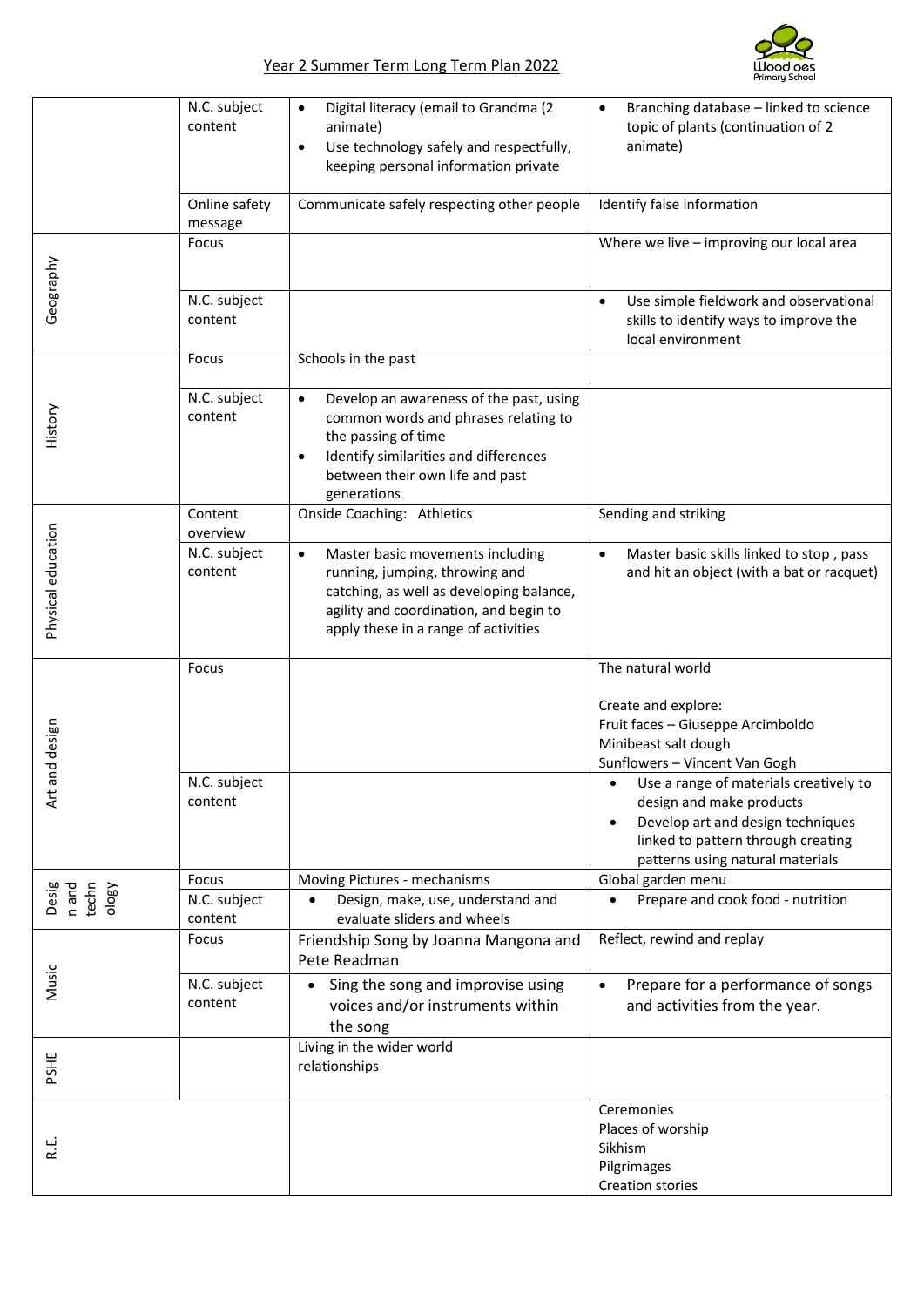

|                                  | N.C. subject<br>content  | Digital literacy (email to Grandma (2<br>$\bullet$<br>animate)<br>Use technology safely and respectfully,<br>$\bullet$<br>keeping personal information private                                                      | Branching database - linked to science<br>$\bullet$<br>topic of plants (continuation of 2<br>animate)                                                                                          |
|----------------------------------|--------------------------|---------------------------------------------------------------------------------------------------------------------------------------------------------------------------------------------------------------------|------------------------------------------------------------------------------------------------------------------------------------------------------------------------------------------------|
|                                  | Online safety<br>message | Communicate safely respecting other people                                                                                                                                                                          | Identify false information                                                                                                                                                                     |
| Geography                        | Focus                    |                                                                                                                                                                                                                     | Where we live - improving our local area                                                                                                                                                       |
|                                  | N.C. subject<br>content  |                                                                                                                                                                                                                     | Use simple fieldwork and observational<br>$\bullet$<br>skills to identify ways to improve the<br>local environment                                                                             |
|                                  | Focus                    | Schools in the past                                                                                                                                                                                                 |                                                                                                                                                                                                |
| History                          | N.C. subject<br>content  | Develop an awareness of the past, using<br>$\bullet$<br>common words and phrases relating to<br>the passing of time<br>Identify similarities and differences<br>٠<br>between their own life and past<br>generations |                                                                                                                                                                                                |
| Physical education               | Content<br>overview      | Onside Coaching: Athletics                                                                                                                                                                                          | Sending and striking                                                                                                                                                                           |
|                                  | N.C. subject<br>content  | Master basic movements including<br>$\bullet$<br>running, jumping, throwing and<br>catching, as well as developing balance,<br>agility and coordination, and begin to<br>apply these in a range of activities       | Master basic skills linked to stop, pass<br>$\bullet$<br>and hit an object (with a bat or racquet)                                                                                             |
| and design<br>ξ                  | Focus                    |                                                                                                                                                                                                                     | The natural world                                                                                                                                                                              |
|                                  |                          |                                                                                                                                                                                                                     | Create and explore:<br>Fruit faces - Giuseppe Arcimboldo<br>Minibeast salt dough<br>Sunflowers - Vincent Van Gogh                                                                              |
|                                  | N.C. subject<br>content  |                                                                                                                                                                                                                     | Use a range of materials creatively to<br>$\bullet$<br>design and make products<br>Develop art and design techniques<br>linked to pattern through creating<br>patterns using natural materials |
| Desig<br>n and<br>techn<br>ology | Focus<br>N.C. subject    | Moving Pictures - mechanisms<br>Design, make, use, understand and                                                                                                                                                   | Global garden menu<br>Prepare and cook food - nutrition<br>٠                                                                                                                                   |
|                                  | content                  | evaluate sliders and wheels                                                                                                                                                                                         |                                                                                                                                                                                                |
| Music                            | Focus                    | Friendship Song by Joanna Mangona and<br>Pete Readman                                                                                                                                                               | Reflect, rewind and replay                                                                                                                                                                     |
|                                  | N.C. subject<br>content  | Sing the song and improvise using<br>voices and/or instruments within<br>the song                                                                                                                                   | Prepare for a performance of songs<br>and activities from the year.                                                                                                                            |
| PSHE                             |                          | Living in the wider world<br>relationships                                                                                                                                                                          |                                                                                                                                                                                                |
| نيا<br>ڪ                         |                          |                                                                                                                                                                                                                     | Ceremonies<br>Places of worship<br>Sikhism<br>Pilgrimages<br>Creation stories                                                                                                                  |